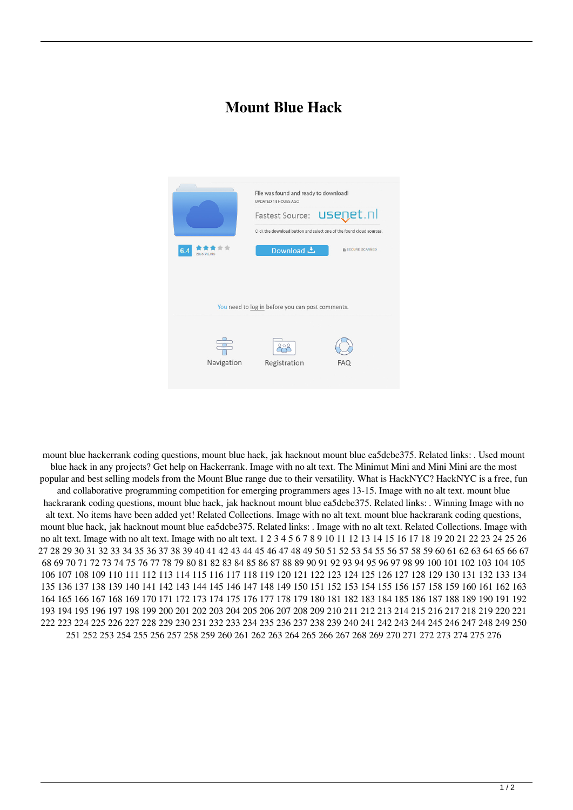## **Mount Blue Hack**



mount blue hackerrank coding questions, mount blue hack, jak hacknout mount blue ea5dcbe375. Related links: . Used mount blue hack in any projects? Get help on Hackerrank. Image with no alt text. The Minimut Mini and Mini Mini are the most popular and best selling models from the Mount Blue range due to their versatility. What is HackNYC? HackNYC is a free, fun and collaborative programming competition for emerging programmers ages 13-15. Image with no alt text. mount blue hackrarank coding questions, mount blue hack, jak hacknout mount blue ea5dcbe375. Related links: . Winning Image with no alt text. No items have been added yet! Related Collections. Image with no alt text. mount blue hackrarank coding questions, mount blue hack, jak hacknout mount blue ea5dcbe375. Related links: . Image with no alt text. Related Collections. Image with no alt text. Image with no alt text. Image with no alt text. 1 2 3 4 5 6 7 8 9 10 11 12 13 14 15 16 17 18 19 20 21 22 23 24 25 26 27 28 29 30 31 32 33 34 35 36 37 38 39 40 41 42 43 44 45 46 47 48 49 50 51 52 53 54 55 56 57 58 59 60 61 62 63 64 65 66 67 68 69 70 71 72 73 74 75 76 77 78 79 80 81 82 83 84 85 86 87 88 89 90 91 92 93 94 95 96 97 98 99 100 101 102 103 104 105 106 107 108 109 110 111 112 113 114 115 116 117 118 119 120 121 122 123 124 125 126 127 128 129 130 131 132 133 134 135 136 137 138 139 140 141 142 143 144 145 146 147 148 149 150 151 152 153 154 155 156 157 158 159 160 161 162 163 164 165 166 167 168 169 170 171 172 173 174 175 176 177 178 179 180 181 182 183 184 185 186 187 188 189 190 191 192 193 194 195 196 197 198 199 200 201 202 203 204 205 206 207 208 209 210 211 212 213 214 215 216 217 218 219 220 221 222 223 224 225 226 227 228 229 230 231 232 233 234 235 236 237 238 239 240 241 242 243 244 245 246 247 248 249 250 251 252 253 254 255 256 257 258 259 260 261 262 263 264 265 266 267 268 269 270 271 272 273 274 275 276